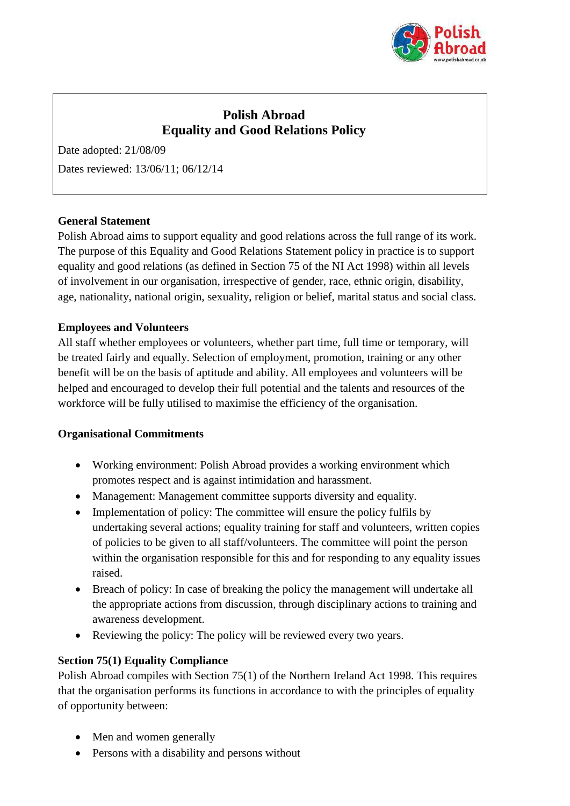

# **Polish Abroad Equality and Good Relations Policy**

Date adopted: 21/08/09 Dates reviewed: 13/06/11; 06/12/14

#### **General Statement**

Polish Abroad aims to support equality and good relations across the full range of its work. The purpose of this Equality and Good Relations Statement policy in practice is to support equality and good relations (as defined in Section 75 of the NI Act 1998) within all levels of involvement in our organisation, irrespective of gender, race, ethnic origin, disability, age, nationality, national origin, sexuality, religion or belief, marital status and social class.

#### **Employees and Volunteers**

All staff whether employees or volunteers, whether part time, full time or temporary, will be treated fairly and equally. Selection of employment, promotion, training or any other benefit will be on the basis of aptitude and ability. All employees and volunteers will be helped and encouraged to develop their full potential and the talents and resources of the workforce will be fully utilised to maximise the efficiency of the organisation.

#### **Organisational Commitments**

- Working environment: Polish Abroad provides a working environment which promotes respect and is against intimidation and harassment.
- Management: Management committee supports diversity and equality.
- Implementation of policy: The committee will ensure the policy fulfils by undertaking several actions; equality training for staff and volunteers, written copies of policies to be given to all staff/volunteers. The committee will point the person within the organisation responsible for this and for responding to any equality issues raised.
- Breach of policy: In case of breaking the policy the management will undertake all the appropriate actions from discussion, through disciplinary actions to training and awareness development.
- Reviewing the policy: The policy will be reviewed every two years.

## **Section 75(1) Equality Compliance**

Polish Abroad compiles with Section 75(1) of the Northern Ireland Act 1998. This requires that the organisation performs its functions in accordance to with the principles of equality of opportunity between:

- Men and women generally
- Persons with a disability and persons without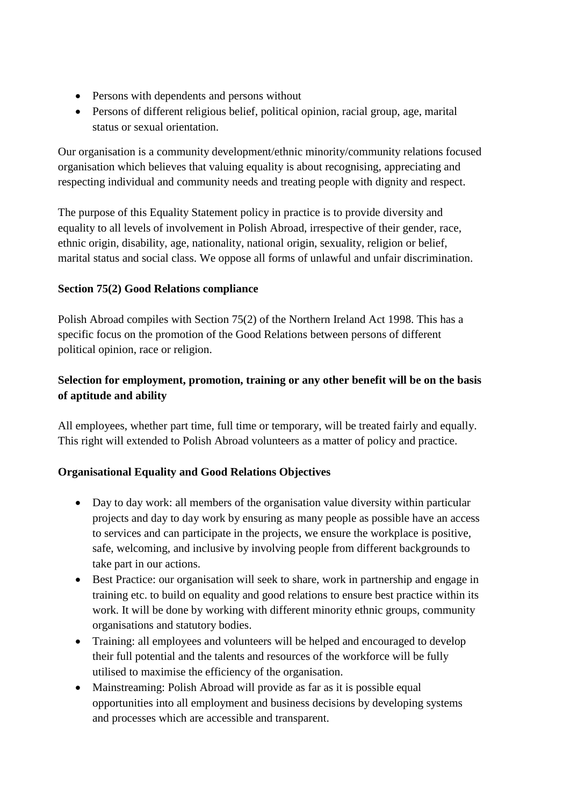- Persons with dependents and persons without
- Persons of different religious belief, political opinion, racial group, age, marital status or sexual orientation.

Our organisation is a community development/ethnic minority/community relations focused organisation which believes that valuing equality is about recognising, appreciating and respecting individual and community needs and treating people with dignity and respect.

The purpose of this Equality Statement policy in practice is to provide diversity and equality to all levels of involvement in Polish Abroad, irrespective of their gender, race, ethnic origin, disability, age, nationality, national origin, sexuality, religion or belief, marital status and social class. We oppose all forms of unlawful and unfair discrimination.

## **Section 75(2) Good Relations compliance**

Polish Abroad compiles with Section 75(2) of the Northern Ireland Act 1998. This has a specific focus on the promotion of the Good Relations between persons of different political opinion, race or religion.

## **Selection for employment, promotion, training or any other benefit will be on the basis of aptitude and ability**

All employees, whether part time, full time or temporary, will be treated fairly and equally. This right will extended to Polish Abroad volunteers as a matter of policy and practice.

## **Organisational Equality and Good Relations Objectives**

- Day to day work: all members of the organisation value diversity within particular projects and day to day work by ensuring as many people as possible have an access to services and can participate in the projects, we ensure the workplace is positive, safe, welcoming, and inclusive by involving people from different backgrounds to take part in our actions.
- Best Practice: our organisation will seek to share, work in partnership and engage in training etc. to build on equality and good relations to ensure best practice within its work. It will be done by working with different minority ethnic groups, community organisations and statutory bodies.
- Training: all employees and volunteers will be helped and encouraged to develop their full potential and the talents and resources of the workforce will be fully utilised to maximise the efficiency of the organisation.
- Mainstreaming: Polish Abroad will provide as far as it is possible equal opportunities into all employment and business decisions by developing systems and processes which are accessible and transparent.